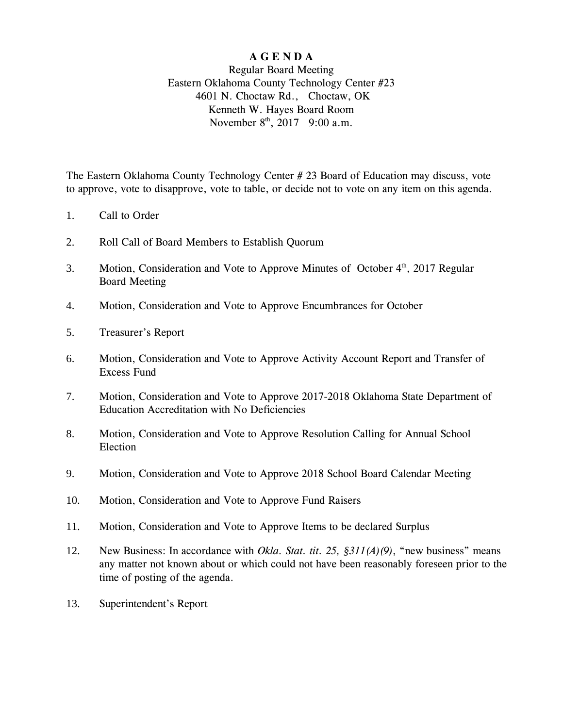## **A G E N D A**

### Regular Board Meeting Eastern Oklahoma County Technology Center #23 4601 N. Choctaw Rd., Choctaw, OK Kenneth W. Hayes Board Room November  $8^{\text{th}}$ , 2017 9:00 a.m.

The Eastern Oklahoma County Technology Center # 23 Board of Education may discuss, vote to approve, vote to disapprove, vote to table, or decide not to vote on any item on this agenda.

- 1. Call to Order
- 2. Roll Call of Board Members to Establish Quorum
- 3. Motion, Consideration and Vote to Approve Minutes of October 4<sup>th</sup>, 2017 Regular Board Meeting
- 4. Motion, Consideration and Vote to Approve Encumbrances for October
- 5. Treasurer's Report
- 6. Motion, Consideration and Vote to Approve Activity Account Report and Transfer of Excess Fund
- 7. Motion, Consideration and Vote to Approve 2017-2018 Oklahoma State Department of Education Accreditation with No Deficiencies
- 8. Motion, Consideration and Vote to Approve Resolution Calling for Annual School Election
- 9. Motion, Consideration and Vote to Approve 2018 School Board Calendar Meeting
- 10. Motion, Consideration and Vote to Approve Fund Raisers
- 11. Motion, Consideration and Vote to Approve Items to be declared Surplus
- 12. New Business: In accordance with *Okla. Stat. tit. 25, §311(A)(9)*, "new business" means any matter not known about or which could not have been reasonably foreseen prior to the time of posting of the agenda.
- 13. Superintendent's Report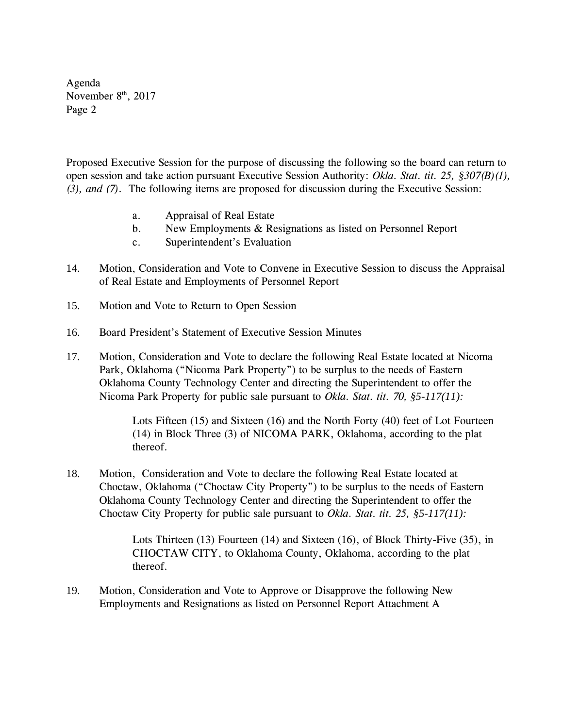Agenda November  $8<sup>th</sup>$ , 2017 Page 2

Proposed Executive Session for the purpose of discussing the following so the board can return to open session and take action pursuant Executive Session Authority: *Okla. Stat. tit. 25, §307(B)(1), (3), and (7)*. The following items are proposed for discussion during the Executive Session:

- a. Appraisal of Real Estate
- b. New Employments & Resignations as listed on Personnel Report
- c. Superintendent's Evaluation
- 14. Motion, Consideration and Vote to Convene in Executive Session to discuss the Appraisal of Real Estate and Employments of Personnel Report
- 15. Motion and Vote to Return to Open Session
- 16. Board President's Statement of Executive Session Minutes
- 17. Motion, Consideration and Vote to declare the following Real Estate located at Nicoma Park, Oklahoma ("Nicoma Park Property") to be surplus to the needs of Eastern Oklahoma County Technology Center and directing the Superintendent to offer the Nicoma Park Property for public sale pursuant to *Okla. Stat. tit. 70, §5-117(11):*

Lots Fifteen (15) and Sixteen (16) and the North Forty (40) feet of Lot Fourteen (14) in Block Three (3) of NICOMA PARK, Oklahoma, according to the plat thereof.

18. Motion, Consideration and Vote to declare the following Real Estate located at Choctaw, Oklahoma ("Choctaw City Property") to be surplus to the needs of Eastern Oklahoma County Technology Center and directing the Superintendent to offer the Choctaw City Property for public sale pursuant to *Okla. Stat. tit. 25, §5-117(11):*

> Lots Thirteen (13) Fourteen (14) and Sixteen (16), of Block Thirty-Five (35), in CHOCTAW CITY, to Oklahoma County, Oklahoma, according to the plat thereof.

19. Motion, Consideration and Vote to Approve or Disapprove the following New Employments and Resignations as listed on Personnel Report Attachment A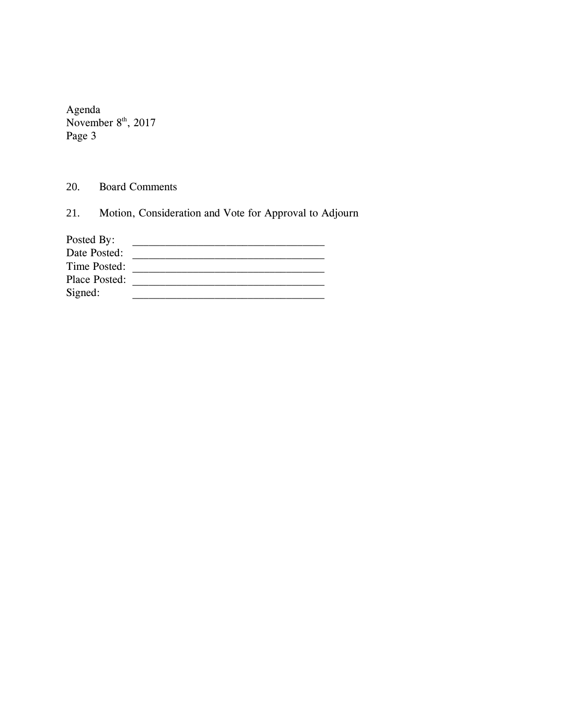Agenda November  $8<sup>th</sup>$ , 2017 Page 3

20. Board Comments

21. Motion, Consideration and Vote for Approval to Adjourn

| Posted By:    |  |
|---------------|--|
| Date Posted:  |  |
| Time Posted:  |  |
| Place Posted: |  |
| Signed:       |  |